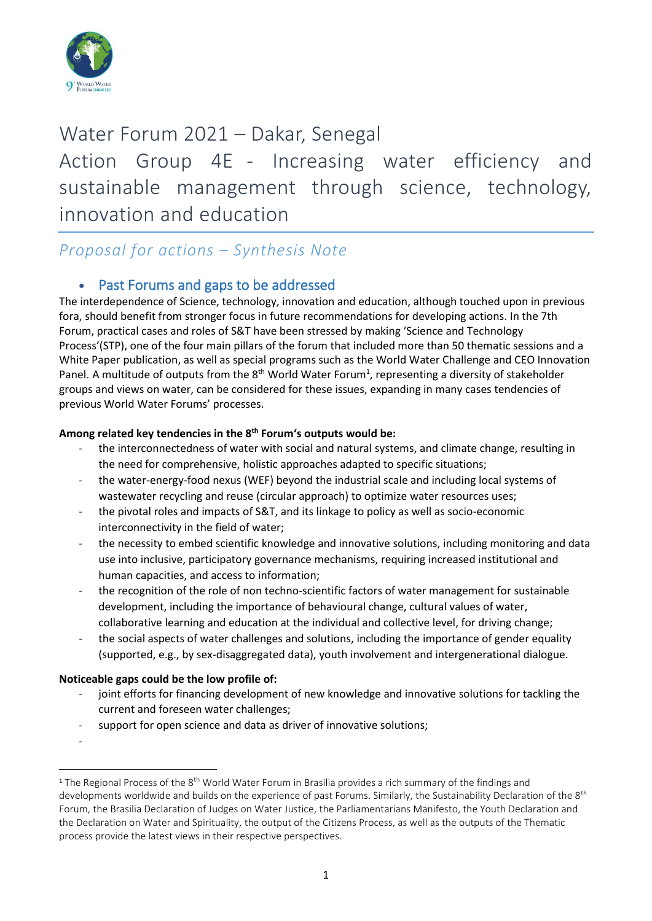

# Water Forum 2021 – Dakar, Senegal Action Group 4E - Increasing water efficiency and sustainable management through science, technology, innovation and education

# *Proposal for actions – Synthesis Note*

### • Past Forums and gaps to be addressed

The interdependence of Science, technology, innovation and education, although touched upon in previous fora, should benefit from stronger focus in future recommendations for developing actions. In the 7th Forum, practical cases and roles of S&T have been stressed by making 'Science and Technology Process'(STP), one of the four main pillars of the forum that included more than 50 thematic sessions and a White Paper publication, as well as special programs such as the World Water Challenge and CEO Innovation Panel. A multitude of outputs from the  $8<sup>th</sup>$  World Water Forum<sup>1</sup>, representing a diversity of stakeholder groups and views on water, can be considered for these issues, expanding in many cases tendencies of previous World Water Forums' processes.

#### **Among related key tendencies in the 8th Forum's outputs would be:**

- the interconnectedness of water with social and natural systems, and climate change, resulting in the need for comprehensive, holistic approaches adapted to specific situations;
- the water-energy-food nexus (WEF) beyond the industrial scale and including local systems of wastewater recycling and reuse (circular approach) to optimize water resources uses;
- the pivotal roles and impacts of S&T, and its linkage to policy as well as socio-economic interconnectivity in the field of water;
- the necessity to embed scientific knowledge and innovative solutions, including monitoring and data use into inclusive, participatory governance mechanisms, requiring increased institutional and human capacities, and access to information;
- the recognition of the role of non techno-scientific factors of water management for sustainable development, including the importance of behavioural change, cultural values of water, collaborative learning and education at the individual and collective level, for driving change;
- the social aspects of water challenges and solutions, including the importance of gender equality (supported, e.g., by sex-disaggregated data), youth involvement and intergenerational dialogue.

#### **Noticeable gaps could be the low profile of:**

- joint efforts for financing development of new knowledge and innovative solutions for tackling the current and foreseen water challenges;
- support for open science and data as driver of innovative solutions;

<sup>-</sup>

<sup>&</sup>lt;sup>1</sup> The Regional Process of the 8<sup>th</sup> World Water Forum in Brasilia provides a rich summary of the findings and developments worldwide and builds on the experience of past Forums. Similarly, the Sustainability Declaration of the 8<sup>th</sup> Forum, the Brasilia Declaration of Judges on Water Justice, the Parliamentarians Manifesto, the Youth Declaration and the Declaration on Water and Spirituality, the output of the Citizens Process, as well as the outputs of the Thematic process provide the latest views in their respective perspectives.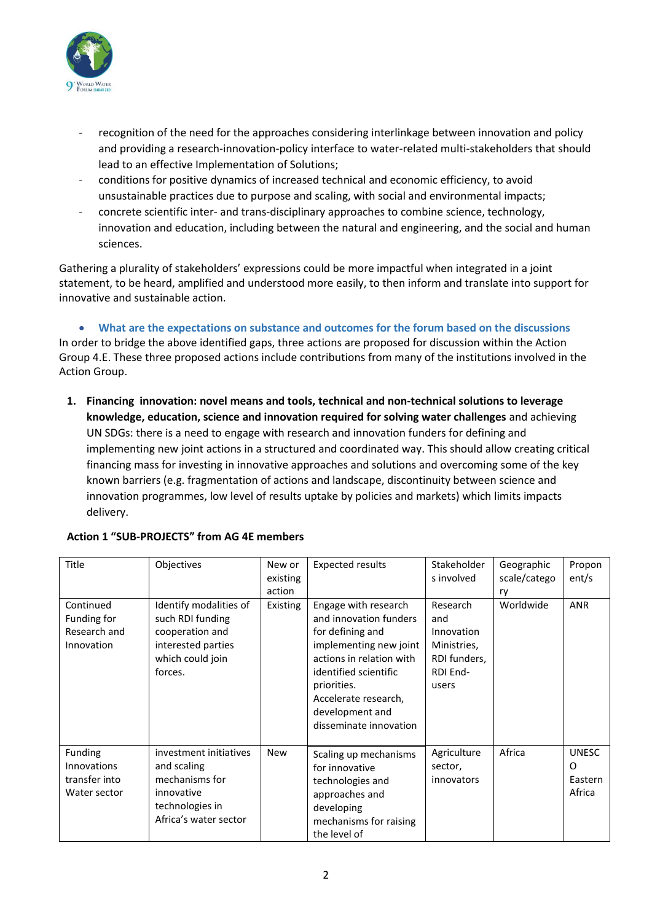

- recognition of the need for the approaches considering interlinkage between innovation and policy and providing a research-innovation-policy interface to water-related multi-stakeholders that should lead to an effective Implementation of Solutions;
- conditions for positive dynamics of increased technical and economic efficiency, to avoid unsustainable practices due to purpose and scaling, with social and environmental impacts;
- concrete scientific inter- and trans-disciplinary approaches to combine science, technology, innovation and education, including between the natural and engineering, and the social and human sciences.

Gathering a plurality of stakeholders' expressions could be more impactful when integrated in a joint statement, to be heard, amplified and understood more easily, to then inform and translate into support for innovative and sustainable action.

• **What are the expectations on substance and outcomes for the forum based on the discussions**  In order to bridge the above identified gaps, three actions are proposed for discussion within the Action Group 4.E. These three proposed actions include contributions from many of the institutions involved in the Action Group.

**1. Financing innovation: novel means and tools, technical and non-technical solutions to leverage knowledge, education, science and innovation required for solving water challenges** and achieving UN SDGs: there is a need to engage with research and innovation funders for defining and implementing new joint actions in a structured and coordinated way. This should allow creating critical financing mass for investing in innovative approaches and solutions and overcoming some of the key known barriers (e.g. fragmentation of actions and landscape, discontinuity between science and innovation programmes, low level of results uptake by policies and markets) which limits impacts delivery.

| <b>Title</b>                                            | Objectives                                                                                                         | New or<br>existing<br>action | <b>Expected results</b>                                                                                                                                                                                                               | Stakeholder<br>s involved                                                         | Geographic<br>scale/catego<br>ry | Propon<br>ent/s                               |
|---------------------------------------------------------|--------------------------------------------------------------------------------------------------------------------|------------------------------|---------------------------------------------------------------------------------------------------------------------------------------------------------------------------------------------------------------------------------------|-----------------------------------------------------------------------------------|----------------------------------|-----------------------------------------------|
| Continued<br>Funding for<br>Research and<br>Innovation  | Identify modalities of<br>such RDI funding<br>cooperation and<br>interested parties<br>which could join<br>forces. | Existing                     | Engage with research<br>and innovation funders<br>for defining and<br>implementing new joint<br>actions in relation with<br>identified scientific<br>priorities.<br>Accelerate research,<br>development and<br>disseminate innovation | Research<br>and<br>Innovation<br>Ministries,<br>RDI funders,<br>RDI End-<br>users | Worldwide                        | <b>ANR</b>                                    |
| Funding<br>Innovations<br>transfer into<br>Water sector | investment initiatives<br>and scaling<br>mechanisms for<br>innovative<br>technologies in<br>Africa's water sector  | <b>New</b>                   | Scaling up mechanisms<br>for innovative<br>technologies and<br>approaches and<br>developing<br>mechanisms for raising<br>the level of                                                                                                 | Agriculture<br>sector,<br>innovators                                              | Africa                           | <b>UNESC</b><br>$\Omega$<br>Eastern<br>Africa |

#### **Action 1 "SUB-PROJECTS" from AG 4E members**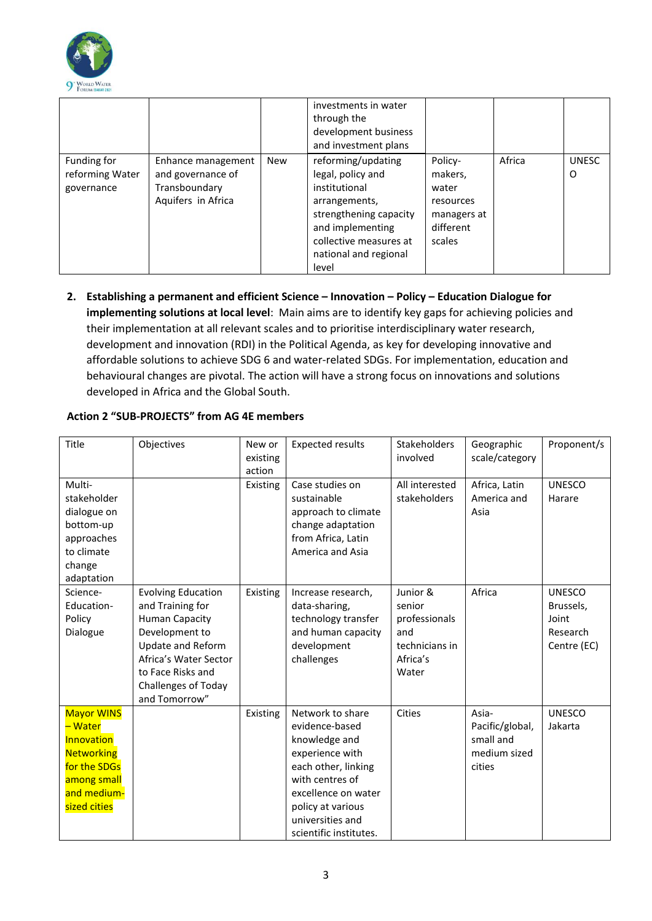

|                                              |                                                                                |            | investments in water<br>through the<br>development business<br>and investment plans                                                                                                 |                                                                                |        |                   |
|----------------------------------------------|--------------------------------------------------------------------------------|------------|-------------------------------------------------------------------------------------------------------------------------------------------------------------------------------------|--------------------------------------------------------------------------------|--------|-------------------|
| Funding for<br>reforming Water<br>governance | Enhance management<br>and governance of<br>Transboundary<br>Aquifers in Africa | <b>New</b> | reforming/updating<br>legal, policy and<br>institutional<br>arrangements,<br>strengthening capacity<br>and implementing<br>collective measures at<br>national and regional<br>level | Policy-<br>makers,<br>water<br>resources<br>managers at<br>different<br>scales | Africa | <b>UNESC</b><br>0 |

**2. Establishing a permanent and efficient Science – Innovation – Policy – Education Dialogue for implementing solutions at local level**: Main aims are to identify key gaps for achieving policies and their implementation at all relevant scales and to prioritise interdisciplinary water research, development and innovation (RDI) in the Political Agenda, as key for developing innovative and affordable solutions to achieve SDG 6 and water-related SDGs. For implementation, education and behavioural changes are pivotal. The action will have a strong focus on innovations and solutions developed in Africa and the Global South.

| Title                                                                                                                         | Objectives                                                                                                                                                                                          | New or<br>existing<br>action | <b>Expected results</b>                                                                                                                                                                                    | <b>Stakeholders</b><br>involved                                                   | Geographic<br>scale/category                                    | Proponent/s                                                    |
|-------------------------------------------------------------------------------------------------------------------------------|-----------------------------------------------------------------------------------------------------------------------------------------------------------------------------------------------------|------------------------------|------------------------------------------------------------------------------------------------------------------------------------------------------------------------------------------------------------|-----------------------------------------------------------------------------------|-----------------------------------------------------------------|----------------------------------------------------------------|
| Multi-<br>stakeholder<br>dialogue on<br>bottom-up<br>approaches<br>to climate<br>change<br>adaptation                         |                                                                                                                                                                                                     | Existing                     | Case studies on<br>sustainable<br>approach to climate<br>change adaptation<br>from Africa, Latin<br>America and Asia                                                                                       | All interested<br>stakeholders                                                    | Africa, Latin<br>America and<br>Asia                            | <b>UNESCO</b><br>Harare                                        |
| Science-<br>Education-<br>Policy<br>Dialogue                                                                                  | <b>Evolving Education</b><br>and Training for<br><b>Human Capacity</b><br>Development to<br>Update and Reform<br>Africa's Water Sector<br>to Face Risks and<br>Challenges of Today<br>and Tomorrow" | Existing                     | Increase research,<br>data-sharing,<br>technology transfer<br>and human capacity<br>development<br>challenges                                                                                              | Junior &<br>senior<br>professionals<br>and<br>technicians in<br>Africa's<br>Water | Africa                                                          | <b>UNESCO</b><br>Brussels,<br>Joint<br>Research<br>Centre (EC) |
| <b>Mayor WINS</b><br>- Water<br>Innovation<br><b>Networking</b><br>for the SDGs<br>among small<br>and medium-<br>sized cities |                                                                                                                                                                                                     | Existing                     | Network to share<br>evidence-based<br>knowledge and<br>experience with<br>each other, linking<br>with centres of<br>excellence on water<br>policy at various<br>universities and<br>scientific institutes. | Cities                                                                            | Asia-<br>Pacific/global,<br>small and<br>medium sized<br>cities | <b>UNESCO</b><br>Jakarta                                       |

#### **Action 2 "SUB-PROJECTS" from AG 4E members**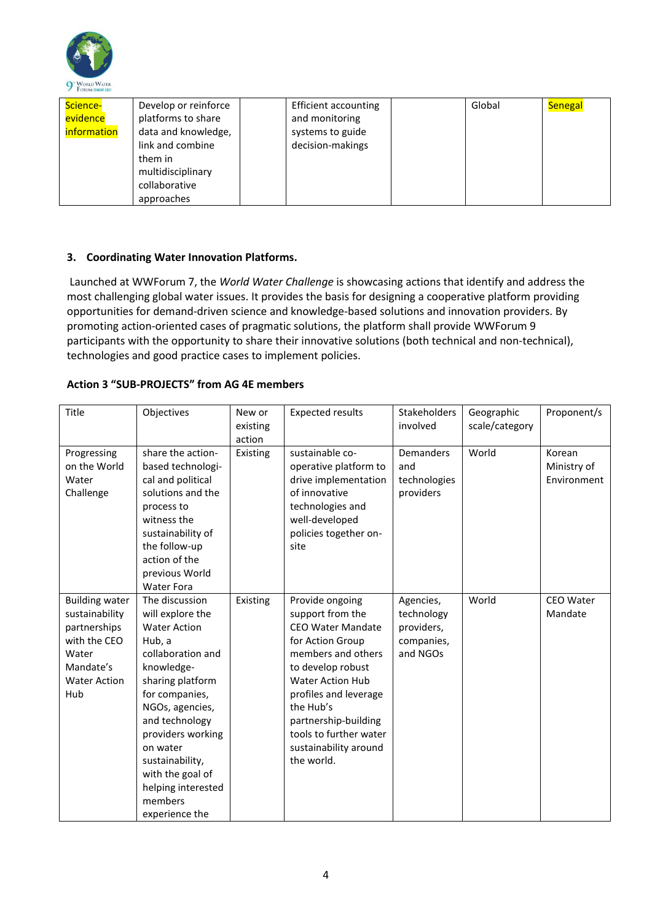

| Science-<br>evidence<br>information | Develop or reinforce<br>platforms to share<br>data and knowledge,<br>link and combine<br>them in<br>multidisciplinary<br>collaborative | Efficient accounting<br>and monitoring<br>systems to guide<br>decision-makings | Global | <b>Senegal</b> |
|-------------------------------------|----------------------------------------------------------------------------------------------------------------------------------------|--------------------------------------------------------------------------------|--------|----------------|
|                                     | approaches                                                                                                                             |                                                                                |        |                |

#### **3. Coordinating Water Innovation Platforms.**

Launched at WWForum 7, the *World Water Challenge* is showcasing actions that identify and address the most challenging global water issues. It provides the basis for designing a cooperative platform providing opportunities for demand-driven science and knowledge-based solutions and innovation providers. By promoting action-oriented cases of pragmatic solutions, the platform shall provide WWForum 9 participants with the opportunity to share their innovative solutions (both technical and non-technical), technologies and good practice cases to implement policies.

#### **Action 3 "SUB-PROJECTS" from AG 4E members**

| Title                                                                                                                       | Objectives                                                                                                                                                                                                                                                                                                   | New or<br>existing<br>action | <b>Expected results</b>                                                                                                                                                                                                                                                                  | Stakeholders<br>involved                                        | Geographic<br>scale/category | Proponent/s                          |
|-----------------------------------------------------------------------------------------------------------------------------|--------------------------------------------------------------------------------------------------------------------------------------------------------------------------------------------------------------------------------------------------------------------------------------------------------------|------------------------------|------------------------------------------------------------------------------------------------------------------------------------------------------------------------------------------------------------------------------------------------------------------------------------------|-----------------------------------------------------------------|------------------------------|--------------------------------------|
| Progressing<br>on the World<br>Water<br>Challenge                                                                           | share the action-<br>based technologi-<br>cal and political<br>solutions and the<br>process to<br>witness the<br>sustainability of<br>the follow-up<br>action of the<br>previous World<br><b>Water Fora</b>                                                                                                  | Existing                     | sustainable co-<br>operative platform to<br>drive implementation<br>of innovative<br>technologies and<br>well-developed<br>policies together on-<br>site                                                                                                                                 | Demanders<br>and<br>technologies<br>providers                   | World                        | Korean<br>Ministry of<br>Environment |
| <b>Building water</b><br>sustainability<br>partnerships<br>with the CEO<br>Water<br>Mandate's<br><b>Water Action</b><br>Hub | The discussion<br>will explore the<br><b>Water Action</b><br>Hub, a<br>collaboration and<br>knowledge-<br>sharing platform<br>for companies,<br>NGOs, agencies,<br>and technology<br>providers working<br>on water<br>sustainability,<br>with the goal of<br>helping interested<br>members<br>experience the | Existing                     | Provide ongoing<br>support from the<br><b>CEO Water Mandate</b><br>for Action Group<br>members and others<br>to develop robust<br><b>Water Action Hub</b><br>profiles and leverage<br>the Hub's<br>partnership-building<br>tools to further water<br>sustainability around<br>the world. | Agencies,<br>technology<br>providers,<br>companies,<br>and NGOs | World                        | CEO Water<br>Mandate                 |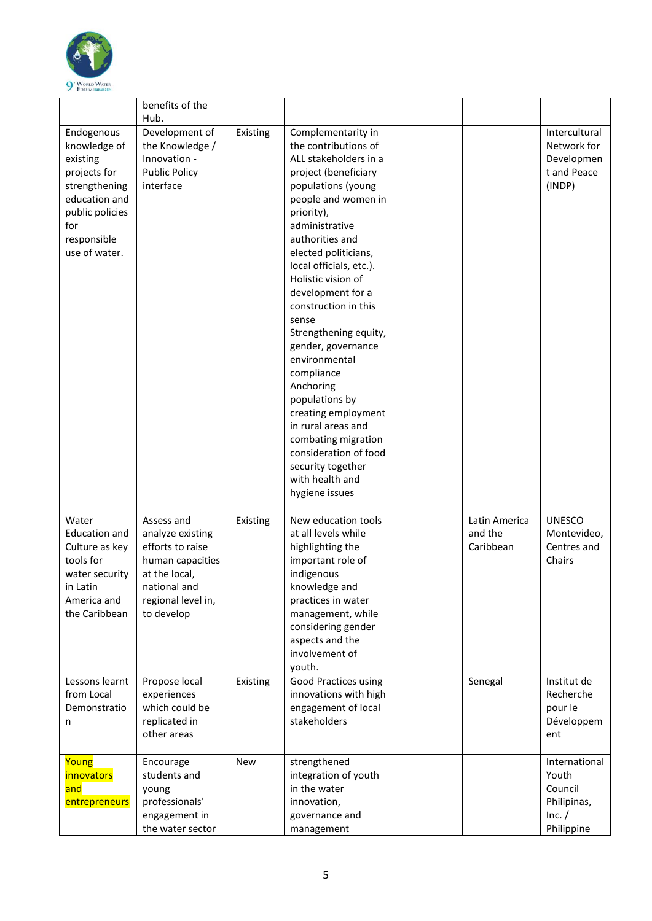

|                                                                                                                                                    | benefits of the                                                                                                                             |          |                                                                                                                                                                                                                                                                                                                                                                                                                                                                                                                                                                                                |                                       |                                                                          |
|----------------------------------------------------------------------------------------------------------------------------------------------------|---------------------------------------------------------------------------------------------------------------------------------------------|----------|------------------------------------------------------------------------------------------------------------------------------------------------------------------------------------------------------------------------------------------------------------------------------------------------------------------------------------------------------------------------------------------------------------------------------------------------------------------------------------------------------------------------------------------------------------------------------------------------|---------------------------------------|--------------------------------------------------------------------------|
|                                                                                                                                                    |                                                                                                                                             |          |                                                                                                                                                                                                                                                                                                                                                                                                                                                                                                                                                                                                |                                       |                                                                          |
| Endogenous<br>knowledge of<br>existing<br>projects for<br>strengthening<br>education and<br>public policies<br>for<br>responsible<br>use of water. | Hub.<br>Development of<br>the Knowledge /<br>Innovation -<br><b>Public Policy</b><br>interface                                              | Existing | Complementarity in<br>the contributions of<br>ALL stakeholders in a<br>project (beneficiary<br>populations (young<br>people and women in<br>priority),<br>administrative<br>authorities and<br>elected politicians,<br>local officials, etc.).<br>Holistic vision of<br>development for a<br>construction in this<br>sense<br>Strengthening equity,<br>gender, governance<br>environmental<br>compliance<br>Anchoring<br>populations by<br>creating employment<br>in rural areas and<br>combating migration<br>consideration of food<br>security together<br>with health and<br>hygiene issues |                                       | Intercultural<br>Network for<br>Developmen<br>t and Peace<br>(INDP)      |
| Water<br><b>Education and</b><br>Culture as key<br>tools for<br>water security<br>in Latin<br>America and<br>the Caribbean                         | Assess and<br>analyze existing<br>efforts to raise<br>human capacities<br>at the local,<br>national and<br>regional level in,<br>to develop | Existing | New education tools<br>at all levels while<br>highlighting the<br>important role of<br>indigenous<br>knowledge and<br>practices in water<br>management, while<br>considering gender<br>aspects and the<br>involvement of<br>youth.                                                                                                                                                                                                                                                                                                                                                             | Latin America<br>and the<br>Caribbean | <b>UNESCO</b><br>Montevideo,<br>Centres and<br>Chairs                    |
| Lessons learnt<br>from Local<br>Demonstratio<br>n                                                                                                  | Propose local<br>experiences<br>which could be<br>replicated in<br>other areas                                                              | Existing | <b>Good Practices using</b><br>innovations with high<br>engagement of local<br>stakeholders                                                                                                                                                                                                                                                                                                                                                                                                                                                                                                    | Senegal                               | Institut de<br>Recherche<br>pour le<br>Développem<br>ent                 |
| Young<br>innovators<br>and<br>entrepreneurs                                                                                                        | Encourage<br>students and<br>young<br>professionals'<br>engagement in<br>the water sector                                                   | New      | strengthened<br>integration of youth<br>in the water<br>innovation,<br>governance and<br>management                                                                                                                                                                                                                                                                                                                                                                                                                                                                                            |                                       | International<br>Youth<br>Council<br>Philipinas,<br>Inc. /<br>Philippine |